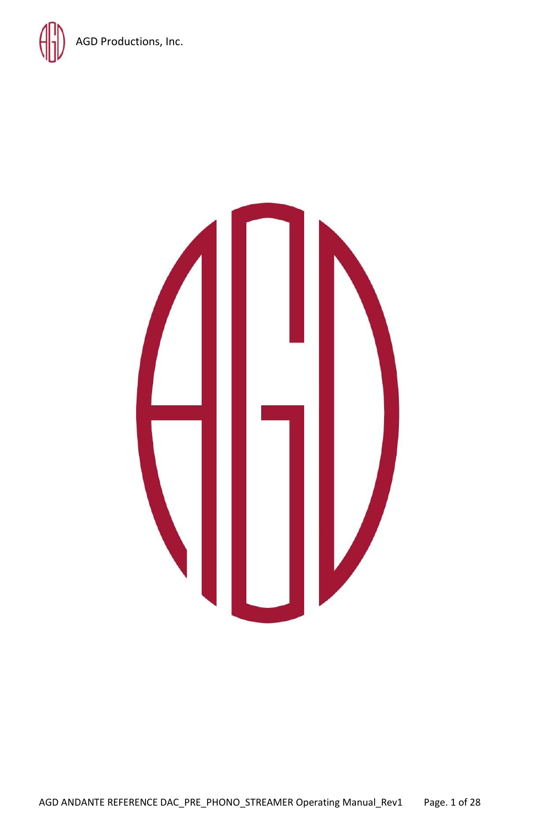

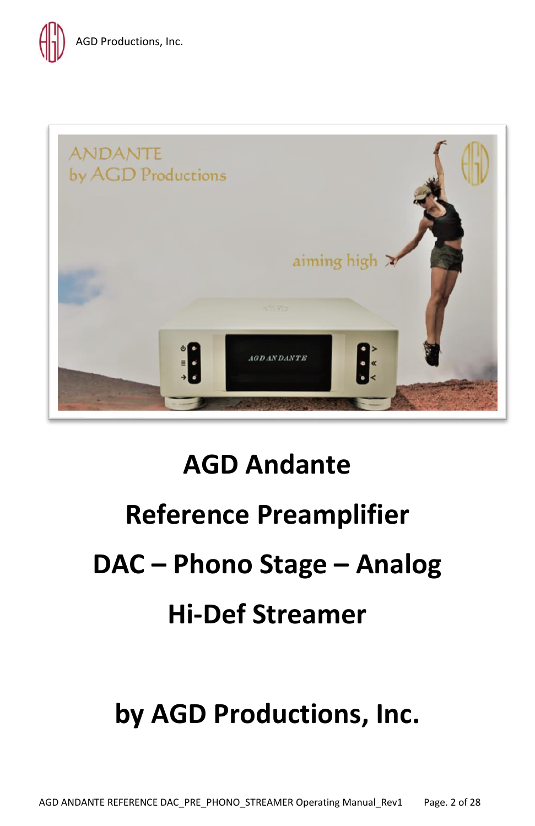AGD Productions, Inc.



# **AGD Andante Reference Preamplifier DAC – Phono Stage – Analog Hi-Def Streamer**

# **by AGD Productions, Inc.**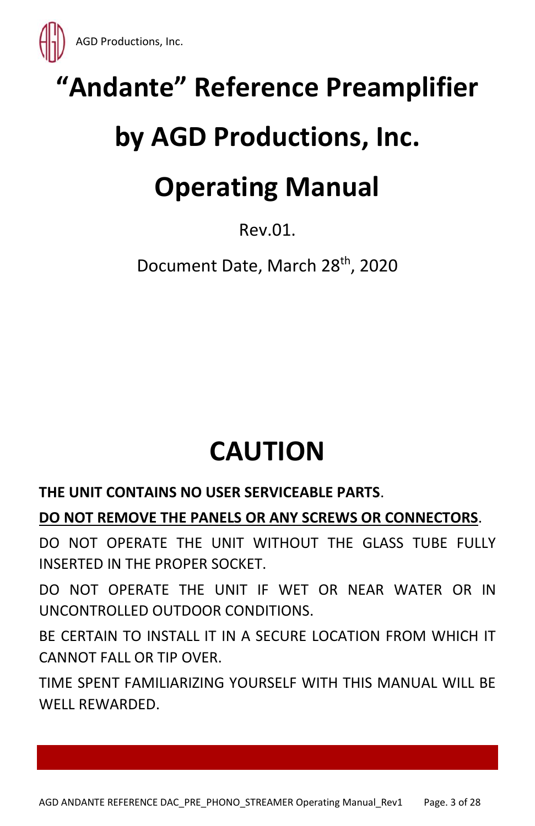

# **"Andante" Reference Preamplifier**

# **by AGD Productions, Inc.**

# **Operating Manual**

# Rev.01.

Document Date, March 28<sup>th</sup>, 2020

# **CAUTION**

#### **THE UNIT CONTAINS NO USER SERVICEABLE PARTS**.

#### **DO NOT REMOVE THE PANELS OR ANY SCREWS OR CONNECTORS**.

DO NOT OPERATE THE UNIT WITHOUT THE GLASS TUBE FULLY INSERTED IN THE PROPER SOCKET.

DO NOT OPERATE THE UNIT IF WET OR NEAR WATER OR IN UNCONTROLLED OUTDOOR CONDITIONS.

BE CERTAIN TO INSTALL IT IN A SECURE LOCATION FROM WHICH IT CANNOT FALL OR TIP OVER.

TIME SPENT FAMILIARIZING YOURSELF WITH THIS MANUAL WILL BE WELL REWARDED.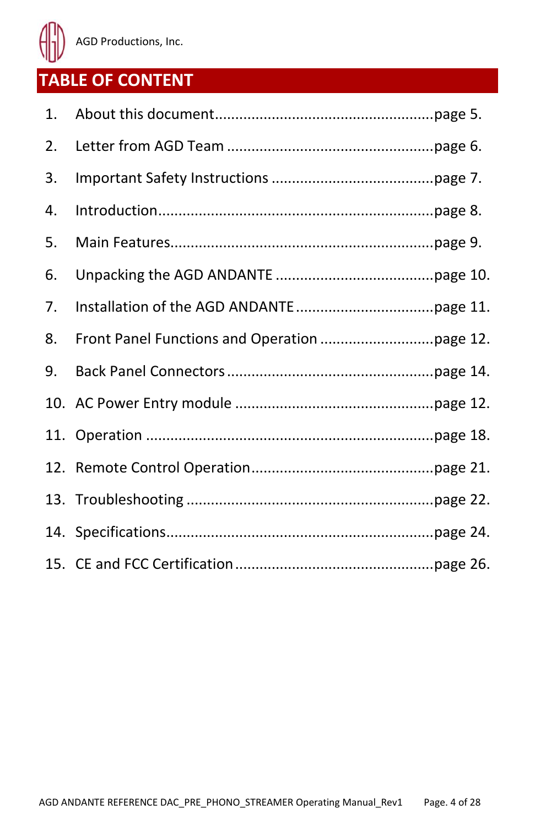

# **TABLE OF CONTENT**

| 1. |  |
|----|--|
| 2. |  |
| 3. |  |
| 4. |  |
| 5. |  |
| 6. |  |
| 7. |  |
| 8. |  |
| 9. |  |
|    |  |
|    |  |
|    |  |
|    |  |
|    |  |
|    |  |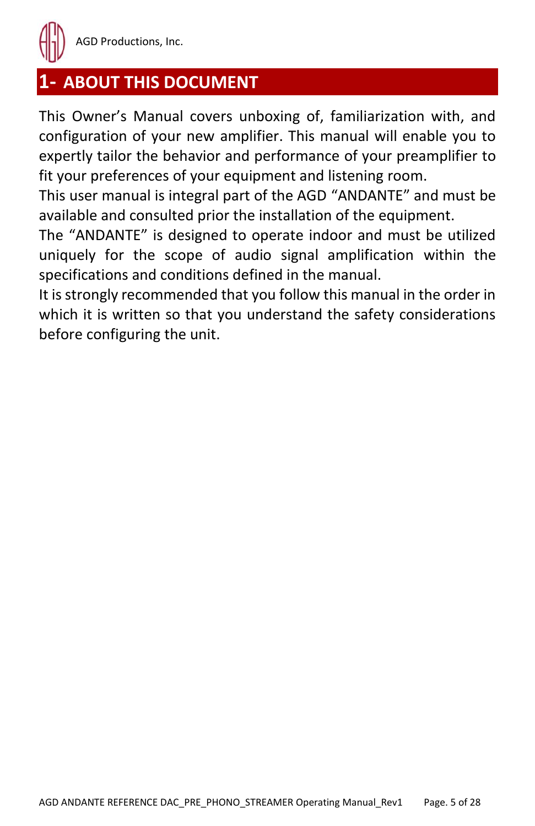

# **1- ABOUT THIS DOCUMENT**

This Owner's Manual covers unboxing of, familiarization with, and configuration of your new amplifier. This manual will enable you to expertly tailor the behavior and performance of your preamplifier to fit your preferences of your equipment and listening room.

This user manual is integral part of the AGD "ANDANTE" and must be available and consulted prior the installation of the equipment.

The "ANDANTE" is designed to operate indoor and must be utilized uniquely for the scope of audio signal amplification within the specifications and conditions defined in the manual.

It is strongly recommended that you follow this manual in the order in which it is written so that you understand the safety considerations before configuring the unit.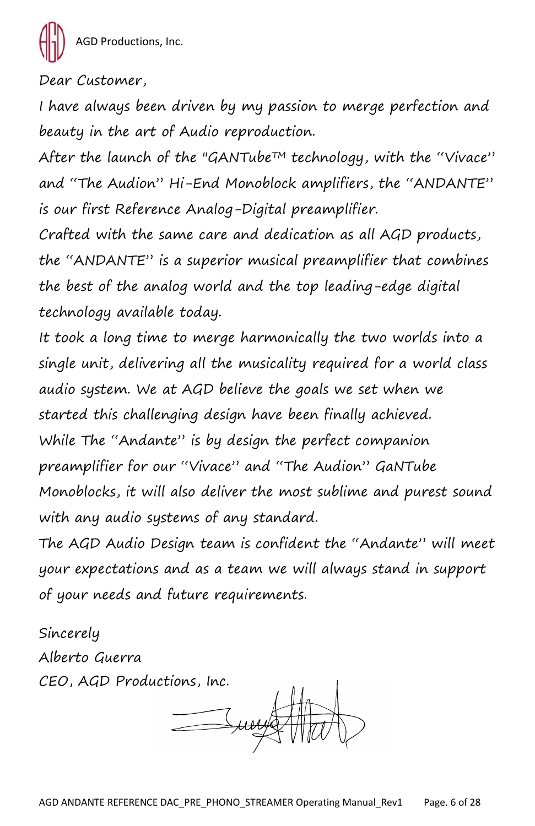

AGD Productions, Inc.

Dear Customer,

I have always been driven by my passion to merge perfection and beauty in the art of Audio reproduction.

After the launch of the "GANTube<sup>TM</sup> technology, with the "Vivace" and "The Audion" Hi-End Monoblock amplifiers, the "ANDANTE" is our first Reference Analog-Digital preamplifier.

Crafted with the same care and dedication as all AGD products, the "ANDANTE" is a superior musical preamplifier that combines the best of the analog world and the top leading-edge digital technology available today.

It took a long time to merge harmonically the two worlds into a single unit, delivering all the musicality required for a world class audio system. We at AGD believe the goals we set when we started this challenging design have been finally achieved. While The "Andante" is by design the perfect companion preamplifier for our "Vivace" and "The Audion" GaNTube Monoblocks, it will also deliver the most sublime and purest sound with any audio systems of any standard.

The AGD Audio Design team is confident the "Andante" will meet your expectations and as a team we will always stand in support of your needs and future requirements.

Sincerely Alberto Guerra CEO, AGD Productions, Inc.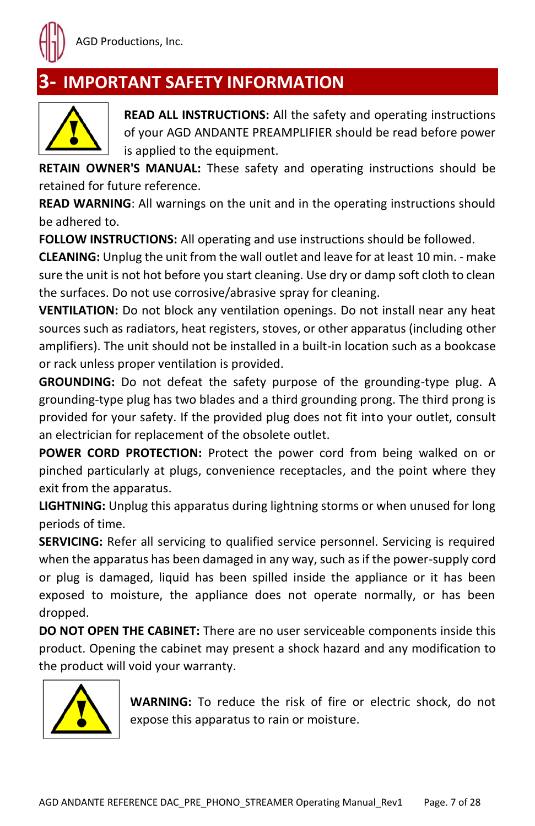

# **3- IMPORTANT SAFETY INFORMATION**



**READ ALL INSTRUCTIONS:** All the safety and operating instructions of your AGD ANDANTE PREAMPLIFIER should be read before power is applied to the equipment.

**RETAIN OWNER'S MANUAL:** These safety and operating instructions should be retained for future reference.

**READ WARNING**: All warnings on the unit and in the operating instructions should be adhered to.

**FOLLOW INSTRUCTIONS:** All operating and use instructions should be followed.

**CLEANING:** Unplug the unit from the wall outlet and leave for at least 10 min. - make sure the unit is not hot before you start cleaning. Use dry or damp soft cloth to clean the surfaces. Do not use corrosive/abrasive spray for cleaning.

**VENTILATION:** Do not block any ventilation openings. Do not install near any heat sources such as radiators, heat registers, stoves, or other apparatus (including other amplifiers). The unit should not be installed in a built-in location such as a bookcase or rack unless proper ventilation is provided.

**GROUNDING:** Do not defeat the safety purpose of the grounding-type plug. A grounding-type plug has two blades and a third grounding prong. The third prong is provided for your safety. If the provided plug does not fit into your outlet, consult an electrician for replacement of the obsolete outlet.

**POWER CORD PROTECTION:** Protect the power cord from being walked on or pinched particularly at plugs, convenience receptacles, and the point where they exit from the apparatus.

**LIGHTNING:** Unplug this apparatus during lightning storms or when unused for long periods of time.

**SERVICING:** Refer all servicing to qualified service personnel. Servicing is required when the apparatus has been damaged in any way, such as if the power-supply cord or plug is damaged, liquid has been spilled inside the appliance or it has been exposed to moisture, the appliance does not operate normally, or has been dropped.

**DO NOT OPEN THE CABINET:** There are no user serviceable components inside this product. Opening the cabinet may present a shock hazard and any modification to the product will void your warranty.



**WARNING:** To reduce the risk of fire or electric shock, do not expose this apparatus to rain or moisture.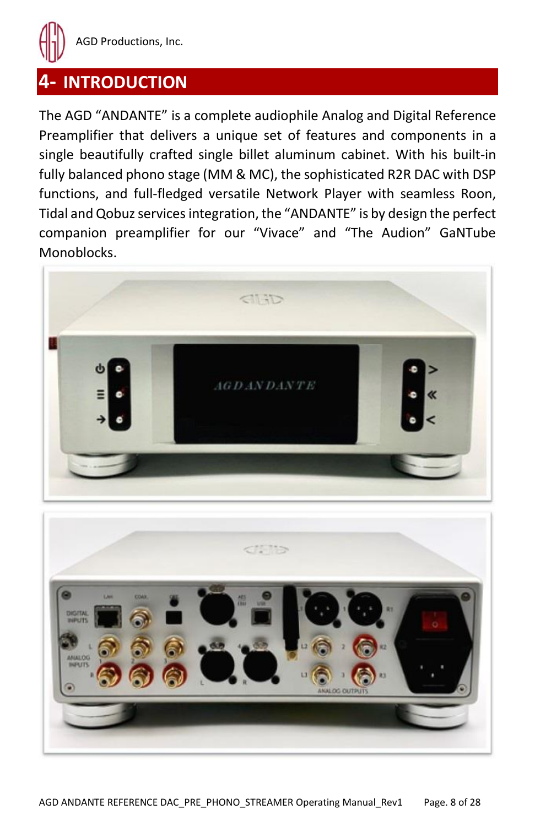

# **4- INTRODUCTION**

The AGD "ANDANTE" is a complete audiophile Analog and Digital Reference Preamplifier that delivers a unique set of features and components in a single beautifully crafted single billet aluminum cabinet. With his built-in fully balanced phono stage (MM & MC), the sophisticated R2R DAC with DSP functions, and full-fledged versatile Network Player with seamless Roon, Tidal and Qobuz services integration, the "ANDANTE" is by design the perfect companion preamplifier for our "Vivace" and "The Audion" GaNTube Monoblocks.



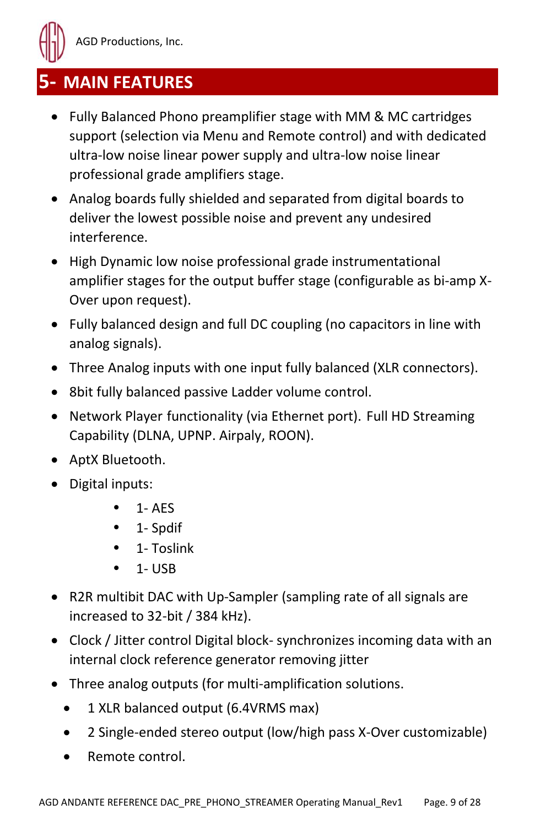

## **5- MAIN FEATURES**

- Fully Balanced Phono preamplifier stage with MM & MC cartridges support (selection via Menu and Remote control) and with dedicated ultra-low noise linear power supply and ultra-low noise linear professional grade amplifiers stage.
- Analog boards fully shielded and separated from digital boards to deliver the lowest possible noise and prevent any undesired interference.
- High Dynamic low noise professional grade instrumentational amplifier stages for the output buffer stage (configurable as bi-amp X-Over upon request).
- Fully balanced design and full DC coupling (no capacitors in line with analog signals).
- Three Analog inputs with one input fully balanced (XLR connectors).
- 8bit fully balanced passive Ladder volume control.
- Network Player functionality (via Ethernet port). Full HD Streaming Capability (DLNA, UPNP. Airpaly, ROON).
- AptX Bluetooth.
- Digital inputs:
	- 1- AES
	- 1- Spdif
	- 1- Toslink
	- 1- USB
- R2R multibit DAC with Up-Sampler (sampling rate of all signals are increased to 32-bit / 384 kHz).
- Clock / Jitter control Digital block- synchronizes incoming data with an internal clock reference generator removing jitter
- Three analog outputs (for multi-amplification solutions.
	- 1 XLR balanced output (6.4VRMS max)
	- 2 Single-ended stereo output (low/high pass X-Over customizable)
	- Remote control.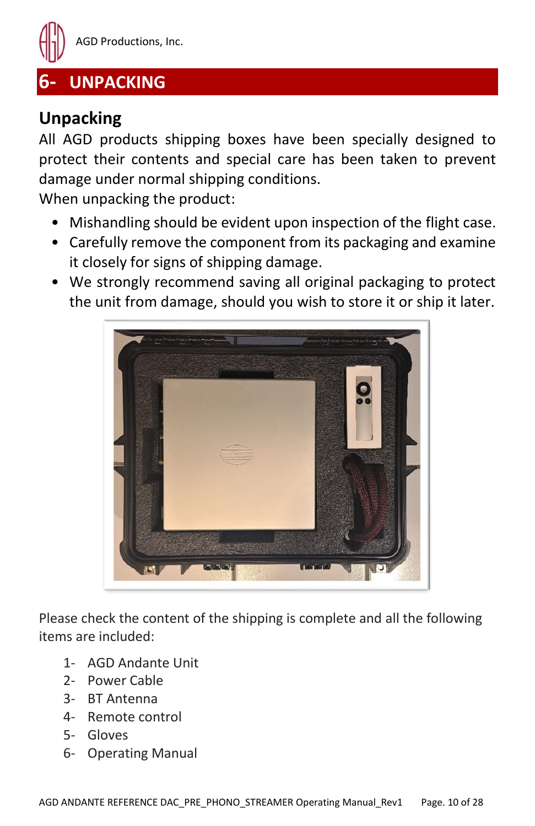

#### **6- UNPACKING**

## **Unpacking**

All AGD products shipping boxes have been specially designed to protect their contents and special care has been taken to prevent damage under normal shipping conditions.

When unpacking the product:

- Mishandling should be evident upon inspection of the flight case.
- Carefully remove the component from its packaging and examine it closely for signs of shipping damage.
- We strongly recommend saving all original packaging to protect the unit from damage, should you wish to store it or ship it later.



Please check the content of the shipping is complete and all the following items are included:

- 1- AGD Andante Unit
- 2- Power Cable
- 3- BT Antenna
- 4- Remote control
- 5- Gloves
- 6- Operating Manual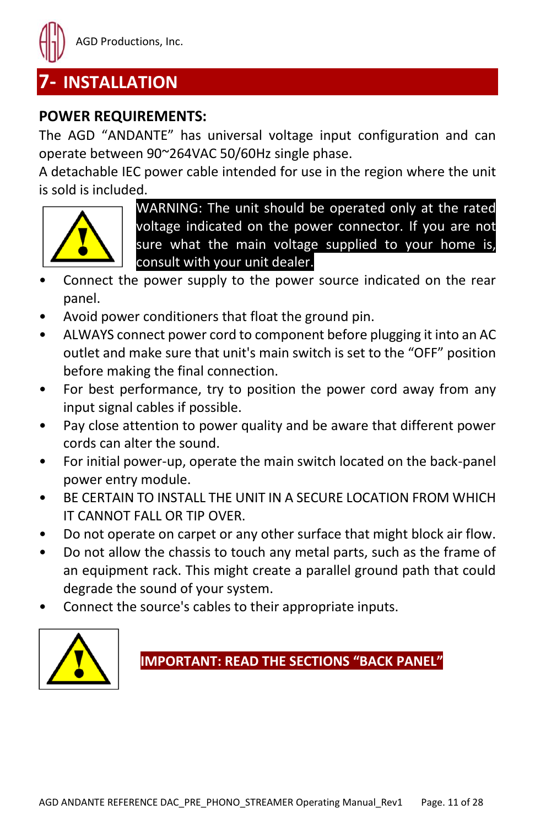

# **7- INSTALLATION**

#### **POWER REQUIREMENTS:**

The AGD "ANDANTE" has universal voltage input configuration and can operate between 90~264VAC 50/60Hz single phase.

A detachable IEC power cable intended for use in the region where the unit is sold is included.



WARNING: The unit should be operated only at the rated voltage indicated on the power connector. If you are not sure what the main voltage supplied to your home is, consult with your unit dealer.

- Connect the power supply to the power source indicated on the rear panel.
- Avoid power conditioners that float the ground pin.
- ALWAYS connect power cord to component before plugging it into an AC outlet and make sure that unit's main switch is set to the "OFF" position before making the final connection.
- For best performance, try to position the power cord away from any input signal cables if possible.
- Pay close attention to power quality and be aware that different power cords can alter the sound.
- For initial power-up, operate the main switch located on the back-panel power entry module.
- BE CERTAIN TO INSTALL THE UNIT IN A SECURE LOCATION FROM WHICH IT CANNOT FALL OR TIP OVER.
- Do not operate on carpet or any other surface that might block air flow.
- Do not allow the chassis to touch any metal parts, such as the frame of an equipment rack. This might create a parallel ground path that could degrade the sound of your system.
- Connect the source's cables to their appropriate inputs.



**IMPORTANT: READ THE SECTIONS "BACK PANEL"**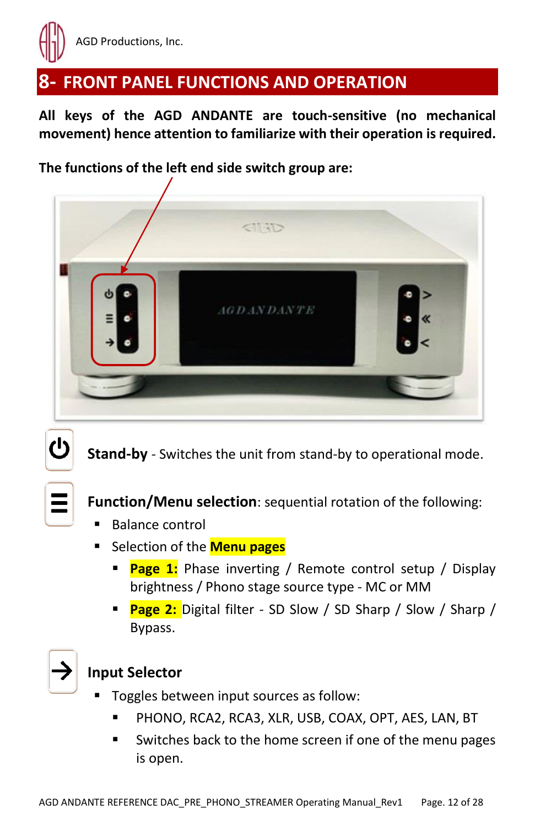

AGD Productions, Inc.

# **8- FRONT PANEL FUNCTIONS AND OPERATION**

**All keys of the AGD ANDANTE are touch-sensitive (no mechanical movement) hence attention to familiarize with their operation is required.**

**The functions of the left end side switch group are:**





**Stand-by** - Switches the unit from stand-by to operational mode.



**Function/Menu selection**: sequential rotation of the following:

- **Balance control**
- Selection of the **Menu pages**
	- **Page 1:** Phase inverting / Remote control setup / Display brightness / Phono stage source type - MC or MM
	- **Page 2:** Digital filter SD Slow / SD Sharp / Slow / Sharp / Bypass.



#### **Input Selector**

- Toggles between input sources as follow:
	- PHONO, RCA2, RCA3, XLR, USB, COAX, OPT, AES, LAN, BT
	- Switches back to the home screen if one of the menu pages is open.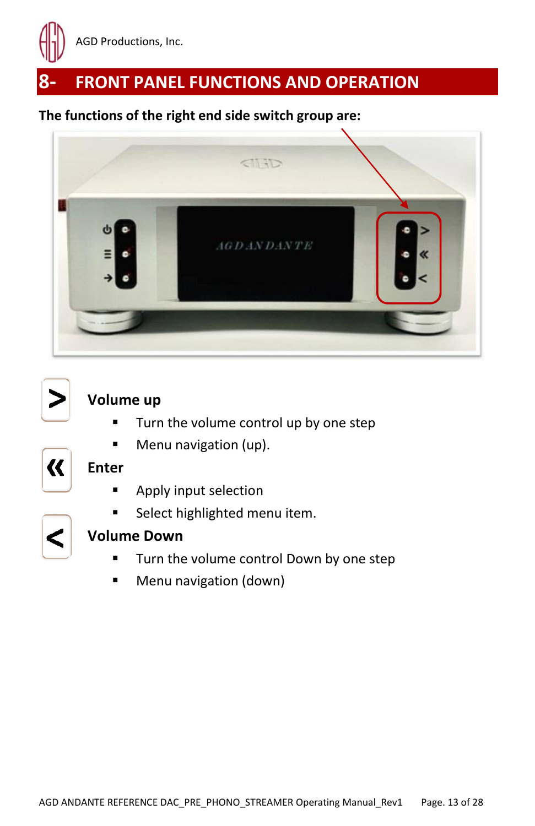

# **8- FRONT PANEL FUNCTIONS AND OPERATION**

#### **The functions of the right end side switch group are:**





 $\overline{\mathcal{K}}$ 

#### **Volume up**

- Turn the volume control up by one step
- Menu navigation (up).

#### **Enter**

- Apply input selection
- **EXECC** highlighted menu item.



#### **Volume Down**

- **Turn the volume control Down by one step**
- **■** Menu navigation (down)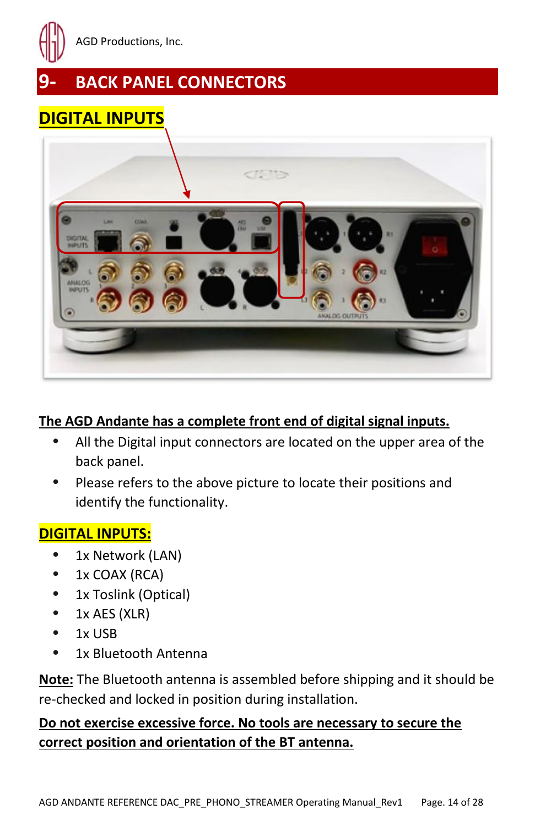

# **9- BACK PANEL CONNECTORS**

# **DIGITAL INPUTS**



#### **The AGD Andante has a complete front end of digital signal inputs.**

- All the Digital input connectors are located on the upper area of the back panel.
- Please refers to the above picture to locate their positions and identify the functionality.

#### **DIGITAL INPUTS:**

- 1x Network (LAN)
- 1x COAX (RCA)
- 1x Toslink (Optical)
- 1x AES (XLR)
- 1x USB
- 1x Bluetooth Antenna

**Note:** The Bluetooth antenna is assembled before shipping and it should be re-checked and locked in position during installation.

#### **Do not exercise excessive force. No tools are necessary to secure the correct position and orientation of the BT antenna.**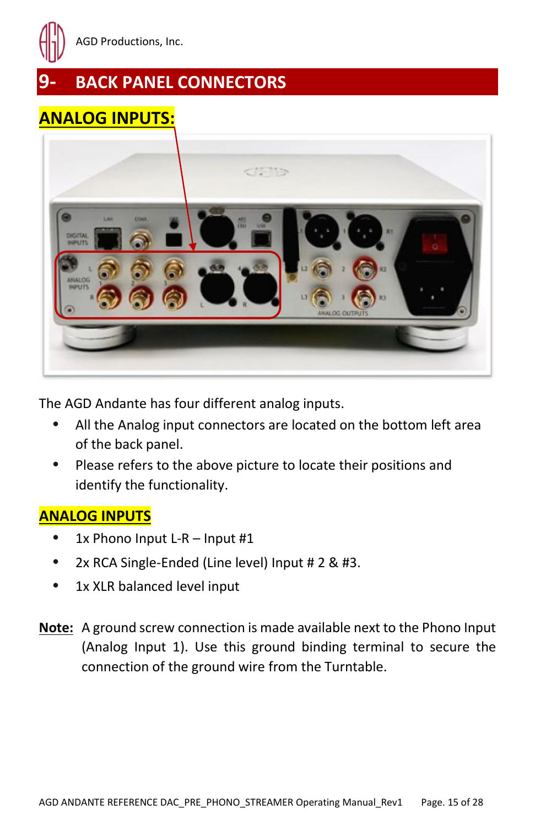

# **9- BACK PANEL CONNECTORS**

# **ANALOG INPUTS:**



The AGD Andante has four different analog inputs.

- All the Analog input connectors are located on the bottom left area of the back panel.
- Please refers to the above picture to locate their positions and identify the functionality.

#### **ANALOG INPUTS**

- 1x Phono Input L-R Input  $\#1$
- 2x RCA Single-Ended (Line level) Input # 2 & #3.
- 1x XLR balanced level input
- **Note:** A ground screw connection is made available next to the Phono Input (Analog Input 1). Use this ground binding terminal to secure the connection of the ground wire from the Turntable.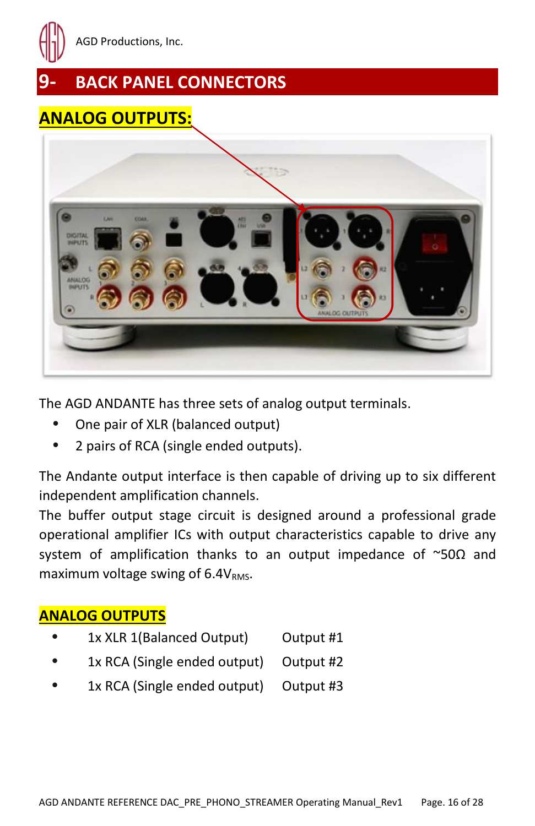

# **9- BACK PANEL CONNECTORS**

## **ANALOG OUTPUTS:**



The AGD ANDANTE has three sets of analog output terminals.

- One pair of XLR (balanced output)
- 2 pairs of RCA (single ended outputs).

The Andante output interface is then capable of driving up to six different independent amplification channels.

The buffer output stage circuit is designed around a professional grade operational amplifier ICs with output characteristics capable to drive any system of amplification thanks to an output impedance of ~50Ω and maximum voltage swing of  $6.4V<sub>RMS</sub>$ .

#### **ANALOG OUTPUTS**

- 1x XLR 1(Balanced Output) Output #1
- 1x RCA (Single ended output) Output #2
- 1x RCA (Single ended output) Output #3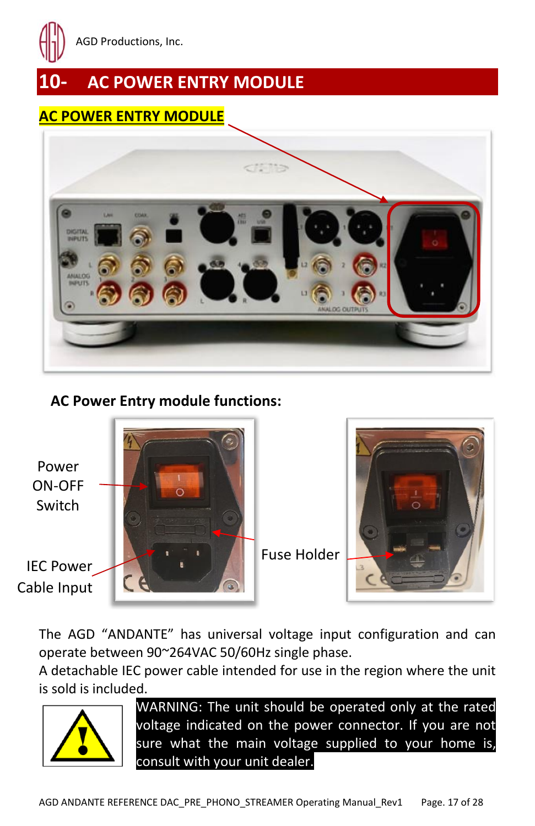

AGD Productions, Inc.

# **10- AC POWER ENTRY MODULE**

#### **AC POWER ENTRY MODULE**



#### **AC Power Entry module functions:**



The AGD "ANDANTE" has universal voltage input configuration and can operate between 90~264VAC 50/60Hz single phase.

A detachable IEC power cable intended for use in the region where the unit is sold is included.



WARNING: The unit should be operated only at the rated voltage indicated on the power connector. If you are not sure what the main voltage supplied to your home is, consult with your unit dealer.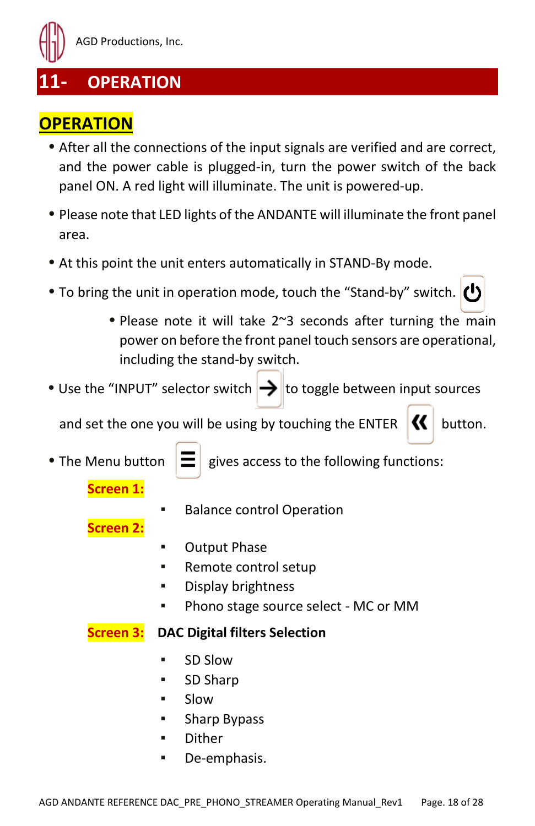

## **11- OPERATION**

## **OPERATION**

- After all the connections of the input signals are verified and are correct, and the power cable is plugged-in, turn the power switch of the back panel ON. A red light will illuminate. The unit is powered-up.
- Please note that LED lights of the ANDANTE will illuminate the front panel area.
- At this point the unit enters automatically in STAND-By mode.
- To bring the unit in operation mode, touch the "Stand-by" switch.  $\langle \cdot \rangle$
- - Please note it will take 2~3 seconds after turning the main power on before the front panel touch sensors are operational, including the stand-by switch.
- Use the "INPUT" selector switch  $\rightarrow$  to toggle between input sources

and set the one you will be using by touching the ENTER  $\|\langle \mathbf{\langle}\rangle \rangle$  button.

- 
- The Menu button  $\mathbf{E}$  gives access to the following functions:

**Screen 1:** 

**Balance control Operation** 

**Screen 2:**

- **Output Phase**
- Remote control setup
- Display brightness
- Phono stage source select MC or MM

#### **Screen 3: DAC Digital filters Selection**

- **SD Slow**
- SD Sharp
- **Slow**
- Sharp Bypass
- **Dither**
- De-emphasis.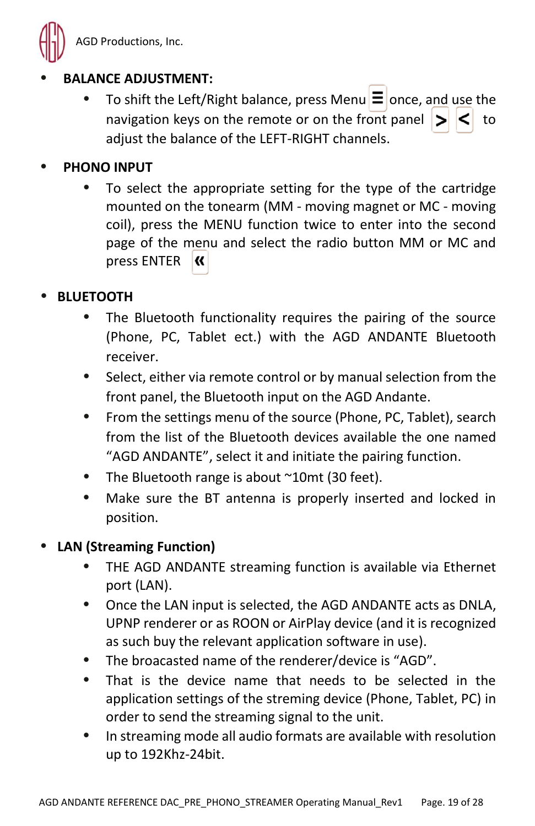

#### • **BALANCE ADJUSTMENT:**

- To shift the Left/Right balance, press Menu  $\Xi$  once, and use the navigation keys on the remote or on the front panel  $\left| \right\rangle \left| \right\rangle$  to adjust the balance of the LEFT-RIGHT channels.
- **PHONO INPUT**
	- To select the appropriate setting for the type of the cartridge mounted on the tonearm (MM - moving magnet or MC - moving coil), press the MENU function twice to enter into the second page of the menu and select the radio button MM or MC and press ENTER  $\overline{\mathbf{w}}$

#### • **BLUETOOTH**

- The Bluetooth functionality requires the pairing of the source (Phone, PC, Tablet ect.) with the AGD ANDANTE Bluetooth receiver.
- Select, either via remote control or by manual selection from the front panel, the Bluetooth input on the AGD Andante.
- From the settings menu of the source (Phone, PC, Tablet), search from the list of the Bluetooth devices available the one named "AGD ANDANTE", select it and initiate the pairing function.
- The Bluetooth range is about  $\sim$ 10mt (30 feet).
- Make sure the BT antenna is properly inserted and locked in position.
- **LAN (Streaming Function)**
	- THE AGD ANDANTE streaming function is available via Ethernet port (LAN).
	- Once the LAN input is selected, the AGD ANDANTE acts as DNLA, UPNP renderer or as ROON or AirPlay device (and it is recognized as such buy the relevant application software in use).
	- The broacasted name of the renderer/device is "AGD".
	- That is the device name that needs to be selected in the application settings of the streming device (Phone, Tablet, PC) in order to send the streaming signal to the unit.
	- In streaming mode all audio formats are available with resolution up to 192Khz-24bit.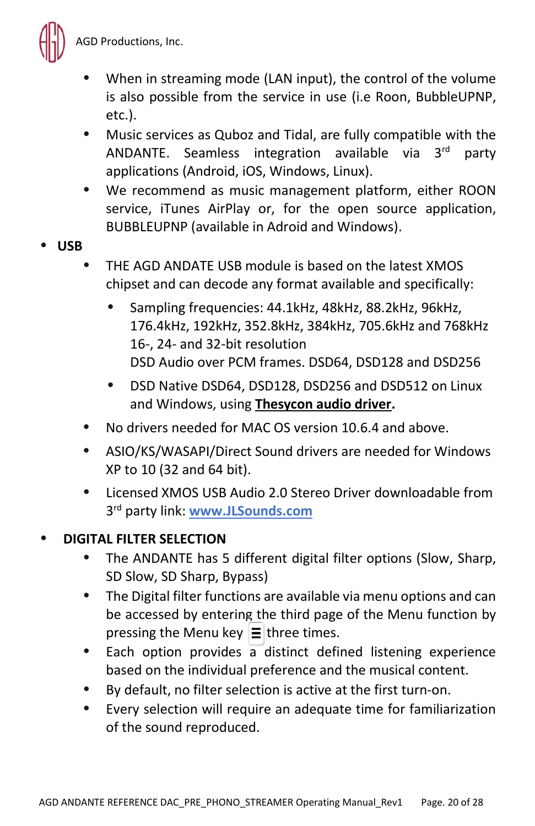

- When in streaming mode (LAN input), the control of the volume is also possible from the service in use (i.e Roon, BubbleUPNP, etc.).
- Music services as Quboz and Tidal, are fully compatible with the ANDANTE. Seamless integration available via  $3<sup>rd</sup>$  party applications (Android, iOS, Windows, Linux).
- We recommend as music management platform, either ROON service, iTunes AirPlay or, for the open source application, BUBBLEUPNP (available in Adroid and Windows).
- **USB** 
	- THE AGD ANDATE USB module is based on the latest XMOS chipset and can decode any format available and specifically:
		- Sampling frequencies: 44.1kHz, 48kHz, 88.2kHz, 96kHz, 176.4kHz, 192kHz, 352.8kHz, 384kHz, 705.6kHz and 768kHz 16-, 24- and 32-bit resolution DSD Audio over PCM frames. DSD64, DSD128 and DSD256
		- DSD Native DSD64, DSD128, DSD256 and DSD512 on Linux and Windows, using **Thesycon audio driver.**
	- No drivers needed for MAC OS version 10.6.4 and above.
	- ASIO/KS/WASAPI/Direct Sound drivers are needed for Windows XP to 10 (32 and 64 bit).
	- Licensed XMOS USB Audio 2.0 Stereo Driver downloadable from 3 rd party link: **www.JLSounds.com**

#### • **DIGITAL FILTER SELECTION**

- The ANDANTE has 5 different digital filter options (Slow, Sharp, SD Slow, SD Sharp, Bypass)
- The Digital filter functions are available via menu options and can be accessed by entering the third page of the Menu function by pressing the Menu key  $\equiv$  three times.
- Each option provides  $\overline{a}$  distinct defined listening experience based on the individual preference and the musical content.
- By default, no filter selection is active at the first turn-on.
- Every selection will require an adequate time for familiarization of the sound reproduced.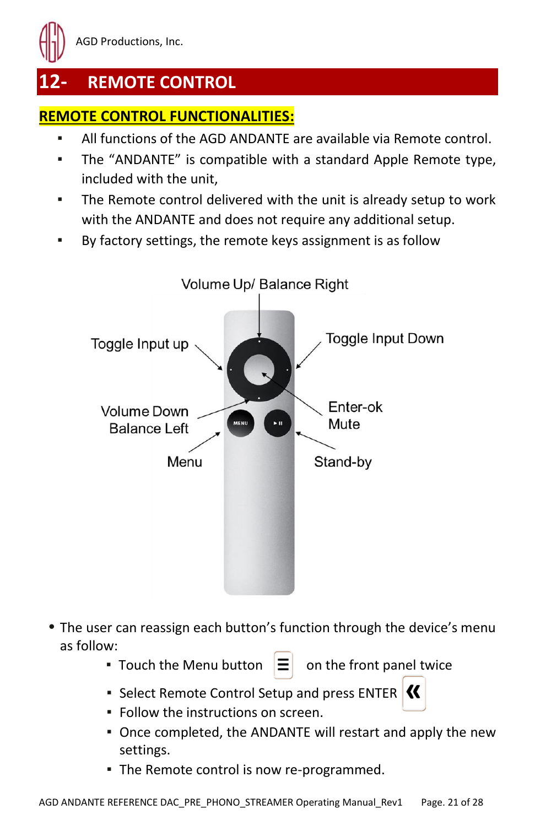

# **12- REMOTE CONTROL**

#### **REMOTE CONTROL FUNCTIONALITIES:**

- All functions of the AGD ANDANTE are available via Remote control.
- The "ANDANTE" is compatible with a standard Apple Remote type, included with the unit,
- The Remote control delivered with the unit is already setup to work with the ANDANTE and does not require any additional setup.
- By factory settings, the remote keys assignment is as follow



- The user can reassign each button's function through the device's menu as follow:
	- Touch the Menu button  $\|\Xi\|$  on the front panel twice

- **EXECTE:** Select Remote Control Setup and press ENTER  $\mathbf{K}$
- Follow the instructions on screen.
- Once completed, the ANDANTE will restart and apply the new settings.
- **The Remote control is now re-programmed.**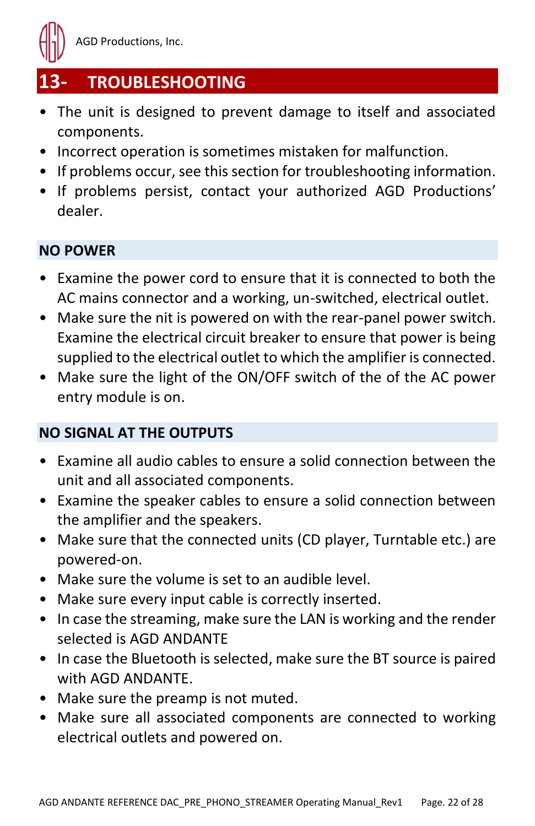

# **13- TROUBLESHOOTING**

- The unit is designed to prevent damage to itself and associated components.
- Incorrect operation is sometimes mistaken for malfunction.
- If problems occur, see this section for troubleshooting information.
- If problems persist, contact your authorized AGD Productions' dealer.

#### **NO POWER**

- Examine the power cord to ensure that it is connected to both the AC mains connector and a working, un-switched, electrical outlet.
- Make sure the nit is powered on with the rear-panel power switch. Examine the electrical circuit breaker to ensure that power is being supplied to the electrical outlet to which the amplifier is connected.
- Make sure the light of the ON/OFF switch of the of the AC power entry module is on.

#### **NO SIGNAL AT THE OUTPUTS**

- Examine all audio cables to ensure a solid connection between the unit and all associated components.
- Examine the speaker cables to ensure a solid connection between the amplifier and the speakers.
- Make sure that the connected units (CD player, Turntable etc.) are powered-on.
- Make sure the volume is set to an audible level.
- Make sure every input cable is correctly inserted.
- In case the streaming, make sure the LAN is working and the render selected is AGD ANDANTE
- In case the Bluetooth is selected, make sure the BT source is paired with AGD ANDANTE.
- Make sure the preamp is not muted.
- Make sure all associated components are connected to working electrical outlets and powered on.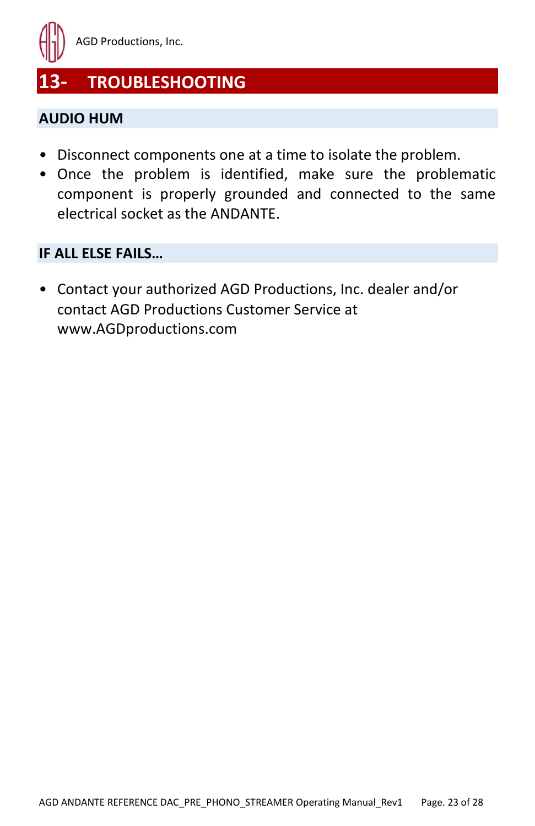

## **13- TROUBLESHOOTING**

#### **AUDIO HUM**

- Disconnect components one at a time to isolate the problem.
- Once the problem is identified, make sure the problematic component is properly grounded and connected to the same electrical socket as the ANDANTE.

#### **IF ALL ELSE FAILS…**

• Contact your authorized AGD Productions, Inc. dealer and/or contact AGD Productions Customer Service at www.AGDproductions.com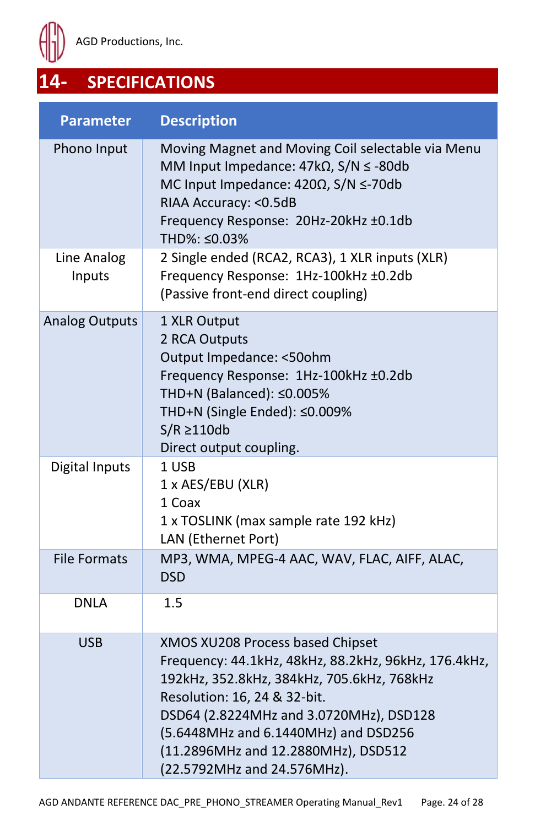

# **14- SPECIFICATIONS**

| <b>Parameter</b>      | <b>Description</b>                                                                                                                                                                                                                                                                                                              |
|-----------------------|---------------------------------------------------------------------------------------------------------------------------------------------------------------------------------------------------------------------------------------------------------------------------------------------------------------------------------|
| Phono Input           | Moving Magnet and Moving Coil selectable via Menu<br>MM Input Impedance: 47kΩ, S/N ≤ -80db<br>MC Input Impedance: 420Ω, S/N ≤-70db<br>RIAA Accuracy: < 0.5dB<br>Frequency Response: 20Hz-20kHz ±0.1db<br>THD%: ≤0.03%                                                                                                           |
| Line Analog<br>Inputs | 2 Single ended (RCA2, RCA3), 1 XLR inputs (XLR)<br>Frequency Response: 1Hz-100kHz ±0.2db<br>(Passive front-end direct coupling)                                                                                                                                                                                                 |
| <b>Analog Outputs</b> | 1 XLR Output<br>2 RCA Outputs<br>Output Impedance: <50ohm<br>Frequency Response: 1Hz-100kHz ±0.2db<br>THD+N (Balanced): ≤0.005%<br>THD+N (Single Ended): ≤0.009%<br>$S/R \geq 110db$<br>Direct output coupling.                                                                                                                 |
| Digital Inputs        | 1 USB<br>1 x AES/EBU (XLR)<br>1 Coax<br>1 x TOSLINK (max sample rate 192 kHz)<br>LAN (Ethernet Port)                                                                                                                                                                                                                            |
| <b>File Formats</b>   | MP3, WMA, MPEG-4 AAC, WAV, FLAC, AIFF, ALAC,<br><b>DSD</b>                                                                                                                                                                                                                                                                      |
| <b>DNLA</b>           | 1.5                                                                                                                                                                                                                                                                                                                             |
| <b>USB</b>            | XMOS XU208 Process based Chipset<br>Frequency: 44.1kHz, 48kHz, 88.2kHz, 96kHz, 176.4kHz,<br>192kHz, 352.8kHz, 384kHz, 705.6kHz, 768kHz<br>Resolution: 16, 24 & 32-bit.<br>DSD64 (2.8224MHz and 3.0720MHz), DSD128<br>(5.6448MHz and 6.1440MHz) and DSD256<br>(11.2896MHz and 12.2880MHz), DSD512<br>(22.5792MHz and 24.576MHz). |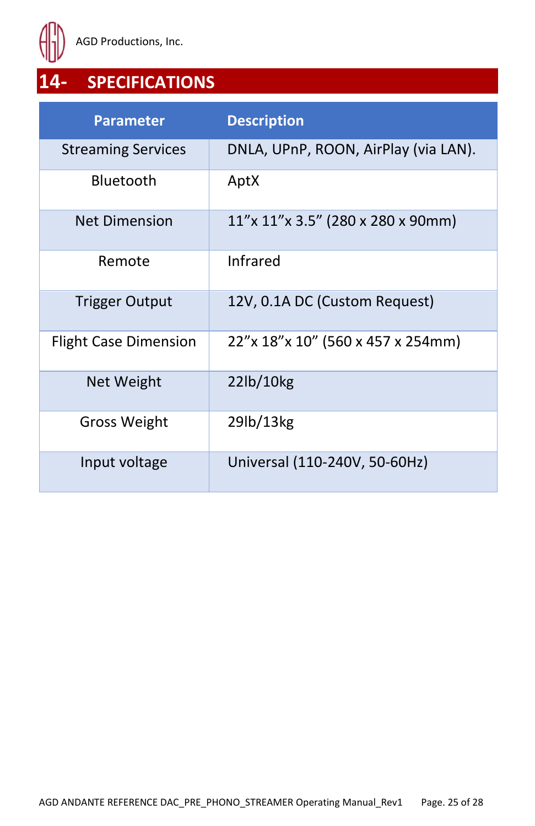

# **14- SPECIFICATIONS**

| <b>Parameter</b>             | <b>Description</b>                   |
|------------------------------|--------------------------------------|
| <b>Streaming Services</b>    | DNLA, UPnP, ROON, AirPlay (via LAN). |
| <b>Bluetooth</b>             | AptX                                 |
| <b>Net Dimension</b>         | 11"x 11"x 3.5" (280 x 280 x 90mm)    |
| Remote                       | Infrared                             |
| <b>Trigger Output</b>        | 12V, 0.1A DC (Custom Request)        |
| <b>Flight Case Dimension</b> | 22"x 18"x 10" (560 x 457 x 254mm)    |
| Net Weight                   | 22lb/10kg                            |
| <b>Gross Weight</b>          | 29lb/13kg                            |
| Input voltage                | Universal (110-240V, 50-60Hz)        |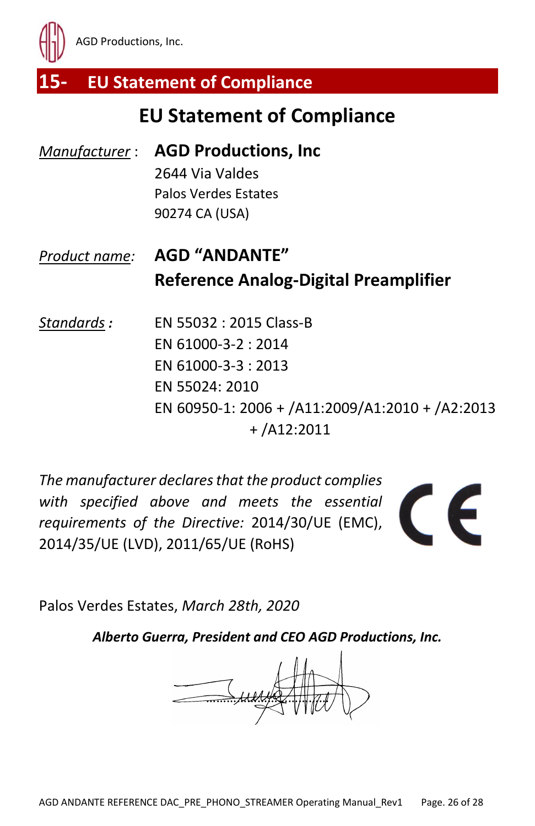

### **15- EU Statement of Compliance**

# **EU Statement of Compliance**

*Manufacturer* : **AGD Productions, Inc**

2644 Via Valdes Palos Verdes Estates 90274 CA (USA)

- *Product name:* **AGD "ANDANTE" Reference Analog-Digital Preamplifier**
- *Standards :* EN 55032 : 2015 Class-B EN 61000-3-2 : 2014 EN 61000-3-3 : 2013 EN 55024: 2010 EN 60950-1: 2006 + /A11:2009/A1:2010 + /A2:2013 + /A12:2011

*The manufacturer declares that the product complies with specified above and meets the essential requirements of the Directive:* 2014/30/UE (EMC), 2014/35/UE (LVD), 2011/65/UE (RoHS)

# $\epsilon$

Palos Verdes Estates, *March 28th, 2020*

*Alberto Guerra, President and CEO AGD Productions, Inc.*

 $\longrightarrow \mathcal{UU}\longrightarrow \mathcal{U}$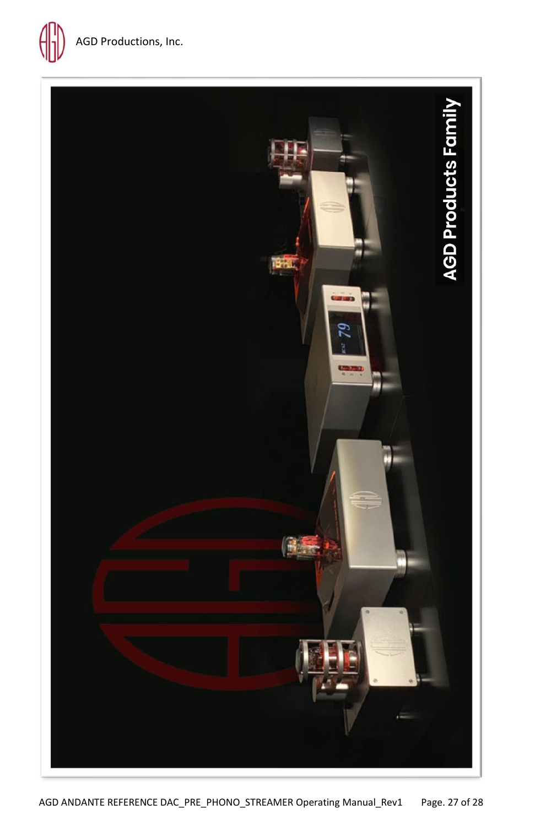